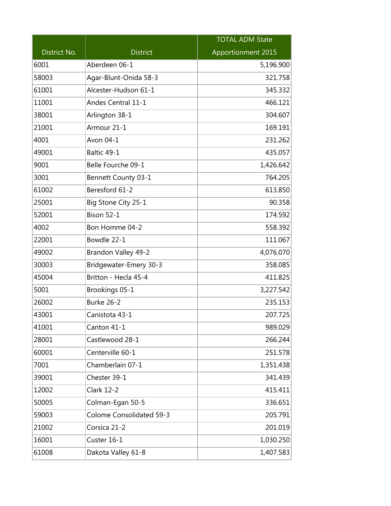|              |                                 | <b>TOTAL ADM State</b> |
|--------------|---------------------------------|------------------------|
| District No. | <b>District</b>                 | Apportionment 2015     |
| 6001         | Aberdeen 06-1                   | 5,196.900              |
| 58003        | Agar-Blunt-Onida 58-3           | 321.758                |
| 61001        | Alcester-Hudson 61-1            | 345.332                |
| 11001        | Andes Central 11-1              | 466.121                |
| 38001        | Arlington 38-1                  | 304.607                |
| 21001        | Armour 21-1                     | 169.191                |
| 4001         | Avon 04-1                       | 231.262                |
| 49001        | Baltic 49-1                     | 435.057                |
| 9001         | Belle Fourche 09-1              | 1,426.642              |
| 3001         | Bennett County 03-1             | 764.205                |
| 61002        | Beresford 61-2                  | 613.850                |
| 25001        | Big Stone City 25-1             | 90.358                 |
| 52001        | Bison 52-1                      | 174.592                |
| 4002         | Bon Homme 04-2                  | 558.392                |
| 22001        | Bowdle 22-1                     | 111.067                |
| 49002        | Brandon Valley 49-2             | 4,076.070              |
| 30003        | Bridgewater-Emery 30-3          | 358.085                |
| 45004        | Britton - Hecla 45-4            | 411.825                |
| 5001         | Brookings 05-1                  | 3,227.542              |
| 26002        | Burke 26-2                      | 235.153                |
| 43001        | Canistota 43-1                  | 207.725                |
| 41001        | Canton 41-1                     | 989.029                |
| 28001        | Castlewood 28-1                 | 266.244                |
| 60001        | Centerville 60-1                | 251.578                |
| 7001         | Chamberlain 07-1                | 1,351.438              |
| 39001        | Chester 39-1                    | 341.439                |
| 12002        | <b>Clark 12-2</b>               | 415.411                |
| 50005        | Colman-Egan 50-5                | 336.651                |
| 59003        | <b>Colome Consolidated 59-3</b> | 205.791                |
| 21002        | Corsica 21-2                    | 201.019                |
| 16001        | Custer 16-1                     | 1,030.250              |
| 61008        | Dakota Valley 61-8              | 1,407.583              |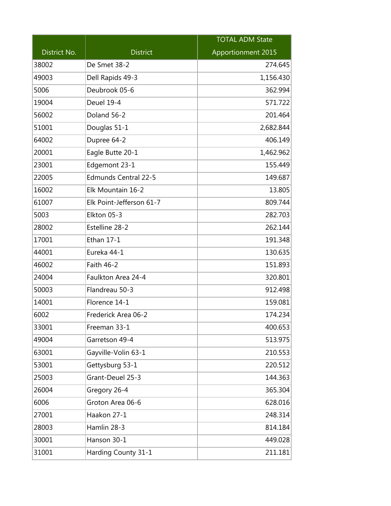|              |                             | <b>TOTAL ADM State</b> |
|--------------|-----------------------------|------------------------|
| District No. | <b>District</b>             | Apportionment 2015     |
| 38002        | De Smet 38-2                | 274.645                |
| 49003        | Dell Rapids 49-3            | 1,156.430              |
| 5006         | Deubrook 05-6               | 362.994                |
| 19004        | Deuel 19-4                  | 571.722                |
| 56002        | Doland 56-2                 | 201.464                |
| 51001        | Douglas 51-1                | 2,682.844              |
| 64002        | Dupree 64-2                 | 406.149                |
| 20001        | Eagle Butte 20-1            | 1,462.962              |
| 23001        | Edgemont 23-1               | 155.449                |
| 22005        | <b>Edmunds Central 22-5</b> | 149.687                |
| 16002        | Elk Mountain 16-2           | 13.805                 |
| 61007        | Elk Point-Jefferson 61-7    | 809.744                |
| 5003         | Elkton 05-3                 | 282.703                |
| 28002        | Estelline 28-2              | 262.144                |
| 17001        | Ethan 17-1                  | 191.348                |
| 44001        | Eureka 44-1                 | 130.635                |
| 46002        | Faith 46-2                  | 151.893                |
| 24004        | Faulkton Area 24-4          | 320.801                |
| 50003        | Flandreau 50-3              | 912.498                |
| 14001        | Florence 14-1               | 159.081                |
| 6002         | Frederick Area 06-2         | 174.234                |
| 33001        | Freeman 33-1                | 400.653                |
| 49004        | Garretson 49-4              | 513.975                |
| 63001        | Gayville-Volin 63-1         | 210.553                |
| 53001        | Gettysburg 53-1             | 220.512                |
| 25003        | Grant-Deuel 25-3            | 144.363                |
| 26004        | Gregory 26-4                | 365.304                |
| 6006         | Groton Area 06-6            | 628.016                |
| 27001        | Haakon 27-1                 | 248.314                |
| 28003        | Hamlin 28-3                 | 814.184                |
| 30001        | Hanson 30-1                 | 449.028                |
| 31001        | Harding County 31-1         | 211.181                |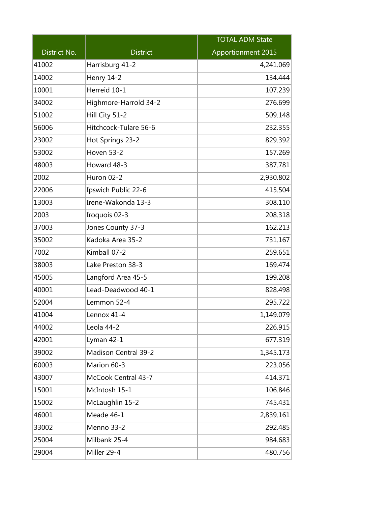|              |                             | <b>TOTAL ADM State</b> |
|--------------|-----------------------------|------------------------|
| District No. | <b>District</b>             | Apportionment 2015     |
| 41002        | Harrisburg 41-2             | 4,241.069              |
| 14002        | <b>Henry 14-2</b>           | 134.444                |
| 10001        | Herreid 10-1                | 107.239                |
| 34002        | Highmore-Harrold 34-2       | 276.699                |
| 51002        | Hill City 51-2              | 509.148                |
| 56006        | Hitchcock-Tulare 56-6       | 232.355                |
| 23002        | Hot Springs 23-2            | 829.392                |
| 53002        | <b>Hoven 53-2</b>           | 157.269                |
| 48003        | Howard 48-3                 | 387.781                |
| 2002         | Huron 02-2                  | 2,930.802              |
| 22006        | Ipswich Public 22-6         | 415.504                |
| 13003        | Irene-Wakonda 13-3          | 308.110                |
| 2003         | Iroquois 02-3               | 208.318                |
| 37003        | Jones County 37-3           | 162.213                |
| 35002        | Kadoka Area 35-2            | 731.167                |
| 7002         | Kimball 07-2                | 259.651                |
| 38003        | Lake Preston 38-3           | 169.474                |
| 45005        | Langford Area 45-5          | 199.208                |
| 40001        | Lead-Deadwood 40-1          | 828.498                |
| 52004        | Lemmon 52-4                 | 295.722                |
| 41004        | Lennox 41-4                 | 1,149.079              |
| 44002        | Leola 44-2                  | 226.915                |
| 42001        | Lyman 42-1                  | 677.319                |
| 39002        | <b>Madison Central 39-2</b> | 1,345.173              |
| 60003        | Marion 60-3                 | 223.056                |
| 43007        | McCook Central 43-7         | 414.371                |
| 15001        | McIntosh 15-1               | 106.846                |
| 15002        | McLaughlin 15-2             | 745.431                |
| 46001        | Meade 46-1                  | 2,839.161              |
| 33002        | Menno 33-2                  | 292.485                |
| 25004        | Milbank 25-4                | 984.683                |
| 29004        | Miller 29-4                 | 480.756                |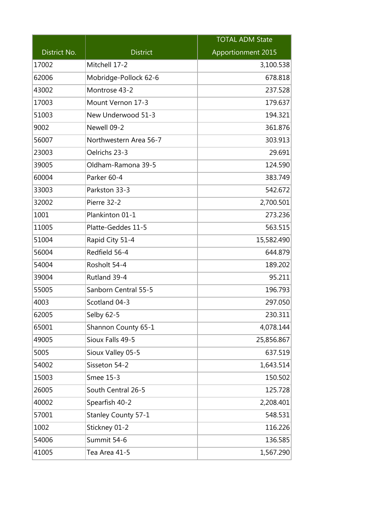|              |                        | <b>TOTAL ADM State</b> |
|--------------|------------------------|------------------------|
| District No. | <b>District</b>        | Apportionment 2015     |
| 17002        | Mitchell 17-2          | 3,100.538              |
| 62006        | Mobridge-Pollock 62-6  | 678.818                |
| 43002        | Montrose 43-2          | 237.528                |
| 17003        | Mount Vernon 17-3      | 179.637                |
| 51003        | New Underwood 51-3     | 194.321                |
| 9002         | Newell 09-2            | 361.876                |
| 56007        | Northwestern Area 56-7 | 303.913                |
| 23003        | Oelrichs 23-3          | 29.691                 |
| 39005        | Oldham-Ramona 39-5     | 124.590                |
| 60004        | Parker 60-4            | 383.749                |
| 33003        | Parkston 33-3          | 542.672                |
| 32002        | Pierre 32-2            | 2,700.501              |
| 1001         | Plankinton 01-1        | 273.236                |
| 11005        | Platte-Geddes 11-5     | 563.515                |
| 51004        | Rapid City 51-4        | 15,582.490             |
| 56004        | Redfield 56-4          | 644.879                |
| 54004        | Rosholt 54-4           | 189.202                |
| 39004        | Rutland 39-4           | 95.211                 |
| 55005        | Sanborn Central 55-5   | 196.793                |
| 4003         | Scotland 04-3          | 297.050                |
| 62005        | Selby 62-5             | 230.311                |
| 65001        | Shannon County 65-1    | 4,078.144              |
| 49005        | Sioux Falls 49-5       | 25,856.867             |
| 5005         | Sioux Valley 05-5      | 637.519                |
| 54002        | Sisseton 54-2          | 1,643.514              |
| 15003        | Smee 15-3              | 150.502                |
| 26005        | South Central 26-5     | 125.728                |
| 40002        | Spearfish 40-2         | 2,208.401              |
| 57001        | Stanley County 57-1    | 548.531                |
| 1002         | Stickney 01-2          | 116.226                |
| 54006        | Summit 54-6            | 136.585                |
| 41005        | Tea Area 41-5          | 1,567.290              |